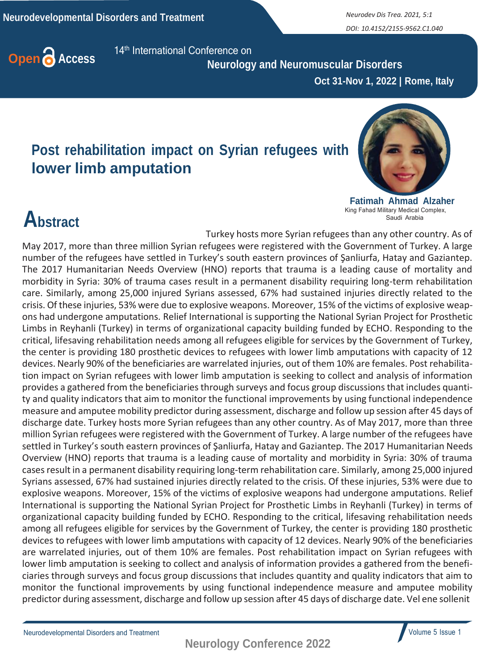*DOI: 10.4152/2155-9562.C1.040*



 **Neurology and Neuromuscular Disorders**

 **Oct 31-Nov 1, 2022 | Rome, Italy**

## **Post rehabilitation impact on Syrian refugees with lower limb amputation**



**Fatimah Ahmad Alzaher** King Fahad Military Medical Complex, Saudi Arabia

## **Abstract**

Turkey hosts more Syrian refugees than any other country. As of May 2017, more than three million Syrian refugees were registered with the Government of Turkey. A large number of the refugees have settled in Turkey's south eastern provinces of Şanliurfa, Hatay and Gaziantep. The 2017 Humanitarian Needs Overview (HNO) reports that trauma is a leading cause of mortality and morbidity in Syria: 30% of trauma cases result in a permanent disability requiring long-term rehabilitation care. Similarly, among 25,000 injured Syrians assessed, 67% had sustained injuries directly related to the crisis. Of these injuries, 53% were due to explosive weapons. Moreover, 15% of the victims of explosive weapons had undergone amputations. Relief International is supporting the National Syrian Project for Prosthetic Limbs in Reyhanli (Turkey) in terms of organizational capacity building funded by ECHO. Responding to the critical, lifesaving rehabilitation needs among all refugees eligible for services by the Government of Turkey, the center is providing 180 prosthetic devices to refugees with lower limb amputations with capacity of 12 devices. Nearly 90% of the beneficiaries are warrelated injuries, out of them 10% are females. Post rehabilitation impact on Syrian refugees with lower limb amputation is seeking to collect and analysis of information provides a gathered from the beneficiaries through surveys and focus group discussions that includes quantity and quality indicators that aim to monitor the functional improvements by using functional independence measure and amputee mobility predictor during assessment, discharge and follow up session after 45 days of discharge date. Turkey hosts more Syrian refugees than any other country. As of May 2017, more than three million Syrian refugees were registered with the Government of Turkey. A large number of the refugees have settled in Turkey's south eastern provinces of Şanliurfa, Hatay and Gaziantep. The 2017 Humanitarian Needs Overview (HNO) reports that trauma is a leading cause of mortality and morbidity in Syria: 30% of trauma casesresult in a permanent disability requiring long-term rehabilitation care. Similarly, among 25,000 injured Syrians assessed, 67% had sustained injuries directly related to the crisis. Of these injuries, 53% were due to explosive weapons. Moreover, 15% of the victims of explosive weapons had undergone amputations. Relief International is supporting the National Syrian Project for Prosthetic Limbs in Reyhanli (Turkey) in terms of organizational capacity building funded by ECHO. Responding to the critical, lifesaving rehabilitation needs among all refugees eligible for services by the Government of Turkey, the center is providing 180 prosthetic devices to refugees with lower limb amputations with capacity of 12 devices. Nearly 90% of the beneficiaries are warrelated injuries, out of them 10% are females. Post rehabilitation impact on Syrian refugees with lower limb amputation is seeking to collect and analysis of information provides a gathered from the beneficiaries through surveys and focus group discussions that includes quantity and quality indicators that aim to monitor the functional improvements by using functional independence measure and amputee mobility predictor during assessment, discharge and follow up session after 45 days of discharge date. Vel ene sollenit